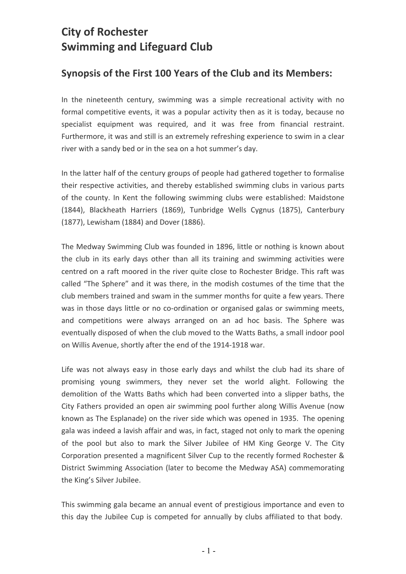## **City of Rochester Swimming and Lifeguard Club**

## Synopsis of the First 100 Years of the Club and its Members:

In the nineteenth century, swimming was a simple recreational activity with no formal competitive events, it was a popular activity then as it is today, because no specialist equipment was required, and it was free from financial restraint. Furthermore, it was and still is an extremely refreshing experience to swim in a clear river with a sandy bed or in the sea on a hot summer's day.

In the latter half of the century groups of people had gathered together to formalise their respective activities, and thereby established swimming clubs in various parts of the county. In Kent the following swimming clubs were established: Maidstone (1844), Blackheath Harriers (1869), Tunbridge Wells Cygnus (1875), Canterbury (1877), Lewisham (1884) and Dover (1886).

The Medway Swimming Club was founded in 1896, little or nothing is known about the club in its early days other than all its training and swimming activities were centred on a raft moored in the river quite close to Rochester Bridge. This raft was called "The Sphere" and it was there, in the modish costumes of the time that the club members trained and swam in the summer months for quite a few years. There was in those days little or no co-ordination or organised galas or swimming meets, and competitions were always arranged on an ad hoc basis. The Sphere was eventually disposed of when the club moved to the Watts Baths, a small indoor pool on Willis Avenue, shortly after the end of the 1914-1918 war.

Life was not always easy in those early days and whilst the club had its share of promising young swimmers, they never set the world alight. Following the demolition of the Watts Baths which had been converted into a slipper baths, the City Fathers provided an open air swimming pool further along Willis Avenue (now known as The Esplanade) on the river side which was opened in 1935. The opening gala was indeed a lavish affair and was, in fact, staged not only to mark the opening of the pool but also to mark the Silver Jubilee of HM King George V. The City Corporation presented a magnificent Silver Cup to the recently formed Rochester & District Swimming Association (later to become the Medway ASA) commemorating the King's Silver Jubilee.

This swimming gala became an annual event of prestigious importance and even to this day the Jubilee Cup is competed for annually by clubs affiliated to that body.